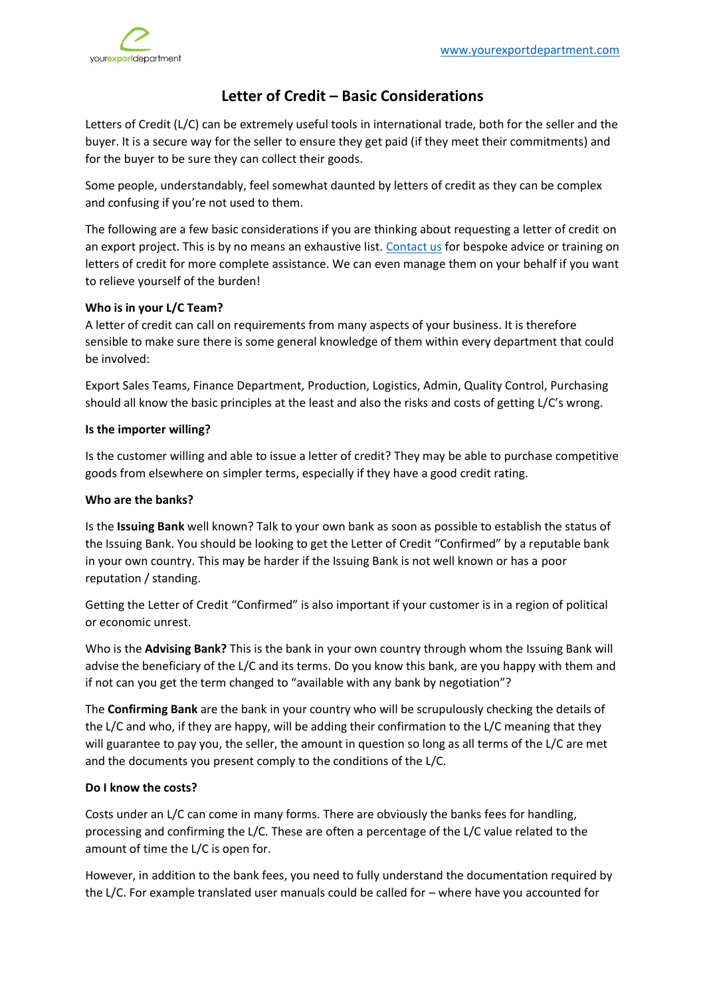

# **Letter of Credit – Basic Considerations**

Letters of Credit (L/C) can be extremely useful tools in international trade, both for the seller and the buyer. It is a secure way for the seller to ensure they get paid (if they meet their commitments) and for the buyer to be sure they can collect their goods.

Some people, understandably, feel somewhat daunted by letters of credit as they can be complex and confusing if you're not used to them.

The following are a few basic considerations if you are thinking about requesting a letter of credit on an export project. This is by no means an exhaustive list. [Contact us](https://www.yourexportdepartment.com/contact) for bespoke advice or training on letters of credit for more complete assistance. We can even manage them on your behalf if you want to relieve yourself of the burden!

## **Who is in your L/C Team?**

A letter of credit can call on requirements from many aspects of your business. It is therefore sensible to make sure there is some general knowledge of them within every department that could be involved:

Export Sales Teams, Finance Department, Production, Logistics, Admin, Quality Control, Purchasing should all know the basic principles at the least and also the risks and costs of getting L/C's wrong.

### **Is the importer willing?**

Is the customer willing and able to issue a letter of credit? They may be able to purchase competitive goods from elsewhere on simpler terms, especially if they have a good credit rating.

### **Who are the banks?**

Is the **Issuing Bank** well known? Talk to your own bank as soon as possible to establish the status of the Issuing Bank. You should be looking to get the Letter of Credit "Confirmed" by a reputable bank in your own country. This may be harder if the Issuing Bank is not well known or has a poor reputation / standing.

Getting the Letter of Credit "Confirmed" is also important if your customer is in a region of political or economic unrest.

Who is the **Advising Bank?** This is the bank in your own country through whom the Issuing Bank will advise the beneficiary of the L/C and its terms. Do you know this bank, are you happy with them and if not can you get the term changed to "available with any bank by negotiation"?

The **Confirming Bank** are the bank in your country who will be scrupulously checking the details of the L/C and who, if they are happy, will be adding their confirmation to the L/C meaning that they will guarantee to pay you, the seller, the amount in question so long as all terms of the L/C are met and the documents you present comply to the conditions of the L/C.

# **Do I know the costs?**

Costs under an L/C can come in many forms. There are obviously the banks fees for handling, processing and confirming the L/C. These are often a percentage of the L/C value related to the amount of time the L/C is open for.

However, in addition to the bank fees, you need to fully understand the documentation required by the L/C. For example translated user manuals could be called for – where have you accounted for